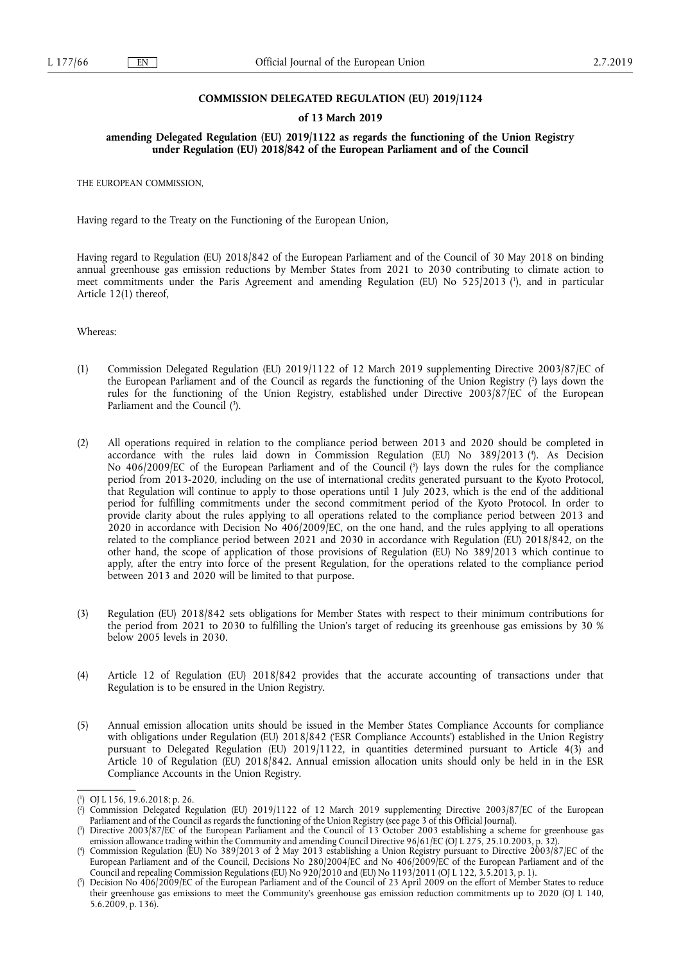## **COMMISSION DELEGATED REGULATION (EU) 2019/1124**

## **of 13 March 2019**

## **amending Delegated Regulation (EU) 2019/1122 as regards the functioning of the Union Registry under Regulation (EU) 2018/842 of the European Parliament and of the Council**

THE EUROPEAN COMMISSION,

Having regard to the Treaty on the Functioning of the European Union,

Having regard to Regulation (EU) 2018/842 of the European Parliament and of the Council of 30 May 2018 on binding annual greenhouse gas emission reductions by Member States from 2021 to 2030 contributing to climate action to meet commitments under the Paris Agreement and amending Regulation (EU) No 525/2013 ( 1 ), and in particular Article 12(1) thereof,

Whereas:

- (1) Commission Delegated Regulation (EU) 2019/1122 of 12 March 2019 supplementing Directive 2003/87/EC of the European Parliament and of the Council as regards the functioning of the Union Registry ( 2 ) lays down the rules for the functioning of the Union Registry, established under Directive 2003/87/EC of the European Parliament and the Council  $(3)$ .
- (2) All operations required in relation to the compliance period between 2013 and 2020 should be completed in accordance with the rules laid down in Commission Regulation (EU) No 389/2013 ( 4 ). As Decision No 406/2009/EC of the European Parliament and of the Council (5) lays down the rules for the compliance period from 2013-2020, including on the use of international credits generated pursuant to the Kyoto Protocol, that Regulation will continue to apply to those operations until 1 July 2023, which is the end of the additional period for fulfilling commitments under the second commitment period of the Kyoto Protocol. In order to provide clarity about the rules applying to all operations related to the compliance period between 2013 and 2020 in accordance with Decision No 406/2009/EC, on the one hand, and the rules applying to all operations related to the compliance period between 2021 and 2030 in accordance with Regulation (EU) 2018/842, on the other hand, the scope of application of those provisions of Regulation (EU) No 389/2013 which continue to apply, after the entry into force of the present Regulation, for the operations related to the compliance period between 2013 and 2020 will be limited to that purpose.
- (3) Regulation (EU) 2018/842 sets obligations for Member States with respect to their minimum contributions for the period from 2021 to 2030 to fulfilling the Union's target of reducing its greenhouse gas emissions by 30 % below 2005 levels in 2030.
- (4) Article 12 of Regulation (EU) 2018/842 provides that the accurate accounting of transactions under that Regulation is to be ensured in the Union Registry.
- (5) Annual emission allocation units should be issued in the Member States Compliance Accounts for compliance with obligations under Regulation (EU) 2018/842 ('ESR Compliance Accounts') established in the Union Registry pursuant to Delegated Regulation (EU) 2019/1122, in quantities determined pursuant to Article 4(3) and Article 10 of Regulation (EU) 2018/842. Annual emission allocation units should only be held in in the ESR Compliance Accounts in the Union Registry.

<sup>(</sup> 1 ) OJ L 156, 19.6.2018; p. 26.

 $(2)$ ) Commission Delegated Regulation (EU) 2019/1122 of 12 March 2019 supplementing Directive 2003/87/EC of the European Parliament and of the Council as regards the functioning of the Union Registry (see page 3 of this Official Journal).

<sup>(</sup> 3 ) Directive 2003/87/EC of the European Parliament and the Council of 13 October 2003 establishing a scheme for greenhouse gas emission allowance trading within the Community and amending Council Directive 96/61/EC (OJ L 275, 25.10.2003, p. 32).

<sup>(</sup> 4 ) Commission Regulation (EU) No 389/2013 of 2 May 2013 establishing a Union Registry pursuant to Directive 2003/87/EC of the European Parliament and of the Council, Decisions No 280/2004/EC and No 406/2009/EC of the European Parliament and of the Council and repealing Commission Regulations (EU) No 920/2010 and (EU) No 1193/2011 (OJ L 122, 3.5.2013, p. 1).

<sup>(</sup> 5 ) Decision No 406/2009/EC of the European Parliament and of the Council of 23 April 2009 on the effort of Member States to reduce their greenhouse gas emissions to meet the Community's greenhouse gas emission reduction commitments up to 2020 (OJ L 140, 5.6.2009, p. 136).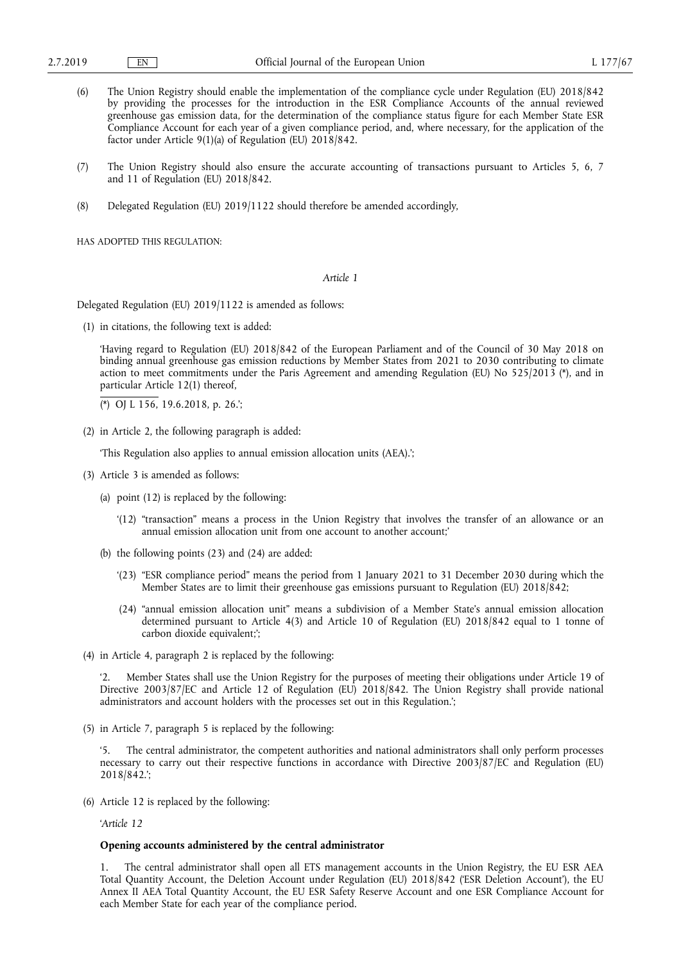- (6) The Union Registry should enable the implementation of the compliance cycle under Regulation (EU) 2018/842 by providing the processes for the introduction in the ESR Compliance Accounts of the annual reviewed greenhouse gas emission data, for the determination of the compliance status figure for each Member State ESR Compliance Account for each year of a given compliance period, and, where necessary, for the application of the factor under Article 9(1)(a) of Regulation (EU) 2018/842.
- (7) The Union Registry should also ensure the accurate accounting of transactions pursuant to Articles 5, 6, 7 and 11 of Regulation (EU) 2018/842.
- (8) Delegated Regulation (EU) 2019/1122 should therefore be amended accordingly,

HAS ADOPTED THIS REGULATION:

*Article 1* 

Delegated Regulation (EU) 2019/1122 is amended as follows:

(1) in citations, the following text is added:

'Having regard to Regulation (EU) 2018/842 of the European Parliament and of the Council of 30 May 2018 on binding annual greenhouse gas emission reductions by Member States from 2021 to 2030 contributing to climate action to meet commitments under the Paris Agreement and amending Regulation (EU) No 525/2013 (\*), and in particular Article 12(1) thereof,

(\*) OJ L 156, 19.6.2018, p. 26.';

(2) in Article 2, the following paragraph is added:

'This Regulation also applies to annual emission allocation units (AEA).';

- (3) Article 3 is amended as follows:
	- (a) point (12) is replaced by the following:
		- '(12) "transaction" means a process in the Union Registry that involves the transfer of an allowance or an annual emission allocation unit from one account to another account;'
	- (b) the following points (23) and (24) are added:
		- '(23) "ESR compliance period" means the period from 1 January 2021 to 31 December 2030 during which the Member States are to limit their greenhouse gas emissions pursuant to Regulation (EU) 2018/842;
		- (24) "annual emission allocation unit" means a subdivision of a Member State's annual emission allocation determined pursuant to Article 4(3) and Article 10 of Regulation (EU) 2018/842 equal to 1 tonne of carbon dioxide equivalent;';
- (4) in Article 4, paragraph 2 is replaced by the following:

'2. Member States shall use the Union Registry for the purposes of meeting their obligations under Article 19 of Directive 2003/87/EC and Article 12 of Regulation (EU) 2018/842. The Union Registry shall provide national administrators and account holders with the processes set out in this Regulation.';

(5) in Article 7, paragraph 5 is replaced by the following:

The central administrator, the competent authorities and national administrators shall only perform processes necessary to carry out their respective functions in accordance with Directive 2003/87/EC and Regulation (EU) 2018/842.';

(6) Article 12 is replaced by the following:

'*Article 12* 

## **Opening accounts administered by the central administrator**

1. The central administrator shall open all ETS management accounts in the Union Registry, the EU ESR AEA Total Quantity Account, the Deletion Account under Regulation (EU) 2018/842 ('ESR Deletion Account'), the EU Annex II AEA Total Quantity Account, the EU ESR Safety Reserve Account and one ESR Compliance Account for each Member State for each year of the compliance period.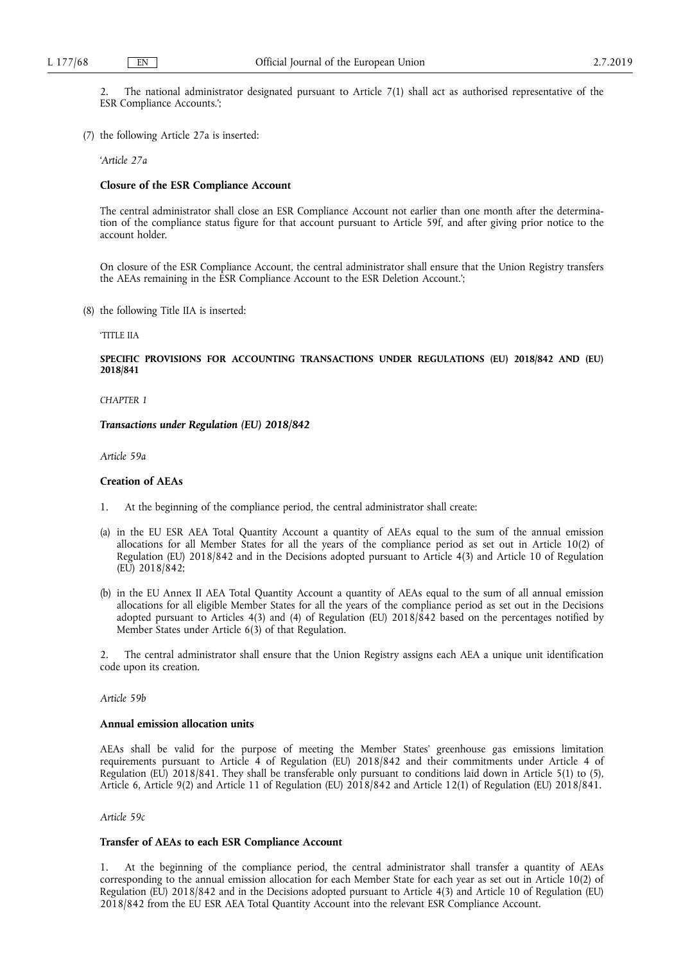2. The national administrator designated pursuant to Article 7(1) shall act as authorised representative of the ESR Compliance Accounts.';

(7) the following Article 27a is inserted:

'*Article 27a* 

#### **Closure of the ESR Compliance Account**

The central administrator shall close an ESR Compliance Account not earlier than one month after the determination of the compliance status figure for that account pursuant to Article 59f, and after giving prior notice to the account holder.

On closure of the ESR Compliance Account, the central administrator shall ensure that the Union Registry transfers the AEAs remaining in the ESR Compliance Account to the ESR Deletion Account.';

(8) the following Title IIA is inserted:

'TITLE IIA

**SPECIFIC PROVISIONS FOR ACCOUNTING TRANSACTIONS UNDER REGULATIONS (EU) 2018/842 AND (EU) 2018/841** 

*CHAPTER 1* 

*Transactions under Regulation (EU) 2018/842* 

*Article 59a* 

#### **Creation of AEAs**

- 1. At the beginning of the compliance period, the central administrator shall create:
- (a) in the EU ESR AEA Total Quantity Account a quantity of AEAs equal to the sum of the annual emission allocations for all Member States for all the years of the compliance period as set out in Article 10(2) of Regulation (EU) 2018/842 and in the Decisions adopted pursuant to Article 4(3) and Article 10 of Regulation (EU) 2018/842;
- (b) in the EU Annex II AEA Total Quantity Account a quantity of AEAs equal to the sum of all annual emission allocations for all eligible Member States for all the years of the compliance period as set out in the Decisions adopted pursuant to Articles 4(3) and (4) of Regulation (EU) 2018/842 based on the percentages notified by Member States under Article 6(3) of that Regulation.

2. The central administrator shall ensure that the Union Registry assigns each AEA a unique unit identification code upon its creation.

*Article 59b* 

## **Annual emission allocation units**

AEAs shall be valid for the purpose of meeting the Member States' greenhouse gas emissions limitation requirements pursuant to Article 4 of Regulation (EU) 2018/842 and their commitments under Article 4 of Regulation (EU) 2018/841. They shall be transferable only pursuant to conditions laid down in Article 5(1) to (5), Article 6, Article 9(2) and Article 11 of Regulation (EU) 2018/842 and Article 12(1) of Regulation (EU) 2018/841.

*Article 59c* 

## **Transfer of AEAs to each ESR Compliance Account**

1. At the beginning of the compliance period, the central administrator shall transfer a quantity of AEAs corresponding to the annual emission allocation for each Member State for each year as set out in Article 10(2) of Regulation (EU) 2018/842 and in the Decisions adopted pursuant to Article 4(3) and Article 10 of Regulation (EU) 2018/842 from the EU ESR AEA Total Quantity Account into the relevant ESR Compliance Account.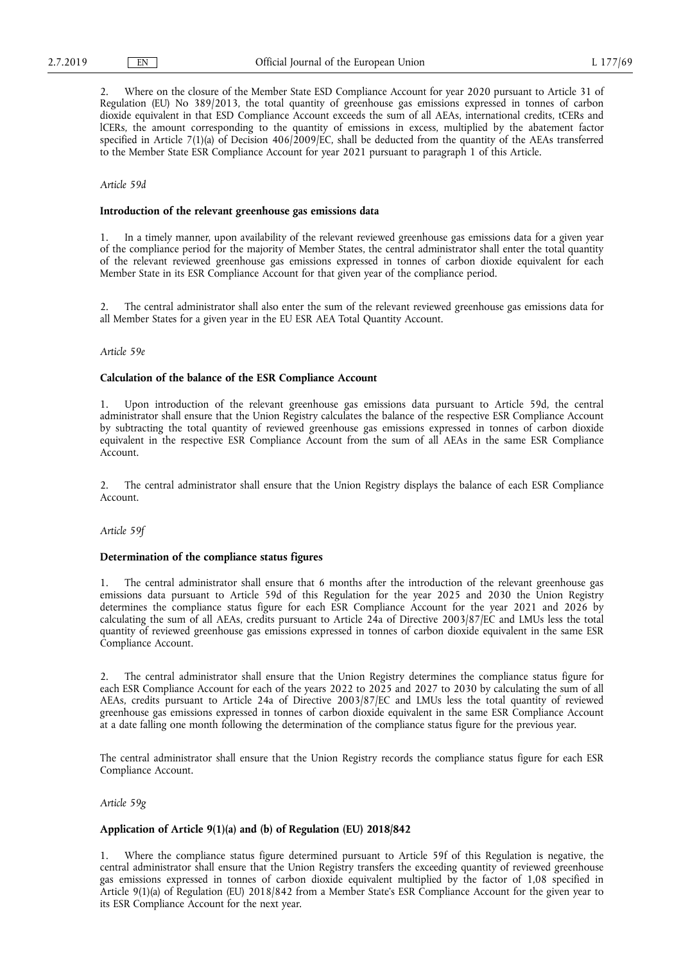2. Where on the closure of the Member State ESD Compliance Account for year 2020 pursuant to Article 31 of Regulation (EU) No 389/2013, the total quantity of greenhouse gas emissions expressed in tonnes of carbon dioxide equivalent in that ESD Compliance Account exceeds the sum of all AEAs, international credits, tCERs and lCERs, the amount corresponding to the quantity of emissions in excess, multiplied by the abatement factor specified in Article 7(1)(a) of Decision 406/2009/EC, shall be deducted from the quantity of the AEAs transferred to the Member State ESR Compliance Account for year 2021 pursuant to paragraph 1 of this Article.

## *Article 59d*

## **Introduction of the relevant greenhouse gas emissions data**

1. In a timely manner, upon availability of the relevant reviewed greenhouse gas emissions data for a given year of the compliance period for the majority of Member States, the central administrator shall enter the total quantity of the relevant reviewed greenhouse gas emissions expressed in tonnes of carbon dioxide equivalent for each Member State in its ESR Compliance Account for that given year of the compliance period.

2. The central administrator shall also enter the sum of the relevant reviewed greenhouse gas emissions data for all Member States for a given year in the EU ESR AEA Total Quantity Account.

#### *Article 59e*

## **Calculation of the balance of the ESR Compliance Account**

1. Upon introduction of the relevant greenhouse gas emissions data pursuant to Article 59d, the central administrator shall ensure that the Union Registry calculates the balance of the respective ESR Compliance Account by subtracting the total quantity of reviewed greenhouse gas emissions expressed in tonnes of carbon dioxide equivalent in the respective ESR Compliance Account from the sum of all AEAs in the same ESR Compliance Account.

2. The central administrator shall ensure that the Union Registry displays the balance of each ESR Compliance Account.

*Article 59f* 

## **Determination of the compliance status figures**

1. The central administrator shall ensure that 6 months after the introduction of the relevant greenhouse gas emissions data pursuant to Article 59d of this Regulation for the year 2025 and 2030 the Union Registry determines the compliance status figure for each ESR Compliance Account for the year 2021 and 2026 by calculating the sum of all AEAs, credits pursuant to Article 24a of Directive 2003/87/EC and LMUs less the total quantity of reviewed greenhouse gas emissions expressed in tonnes of carbon dioxide equivalent in the same ESR Compliance Account.

2. The central administrator shall ensure that the Union Registry determines the compliance status figure for each ESR Compliance Account for each of the years 2022 to 2025 and 2027 to 2030 by calculating the sum of all AEAs, credits pursuant to Article 24a of Directive 2003/87/EC and LMUs less the total quantity of reviewed greenhouse gas emissions expressed in tonnes of carbon dioxide equivalent in the same ESR Compliance Account at a date falling one month following the determination of the compliance status figure for the previous year.

The central administrator shall ensure that the Union Registry records the compliance status figure for each ESR Compliance Account.

#### *Article 59g*

## **Application of Article 9(1)(a) and (b) of Regulation (EU) 2018/842**

1. Where the compliance status figure determined pursuant to Article 59f of this Regulation is negative, the central administrator shall ensure that the Union Registry transfers the exceeding quantity of reviewed greenhouse gas emissions expressed in tonnes of carbon dioxide equivalent multiplied by the factor of 1,08 specified in Article 9(1)(a) of Regulation (EU) 2018/842 from a Member State's ESR Compliance Account for the given year to its ESR Compliance Account for the next year.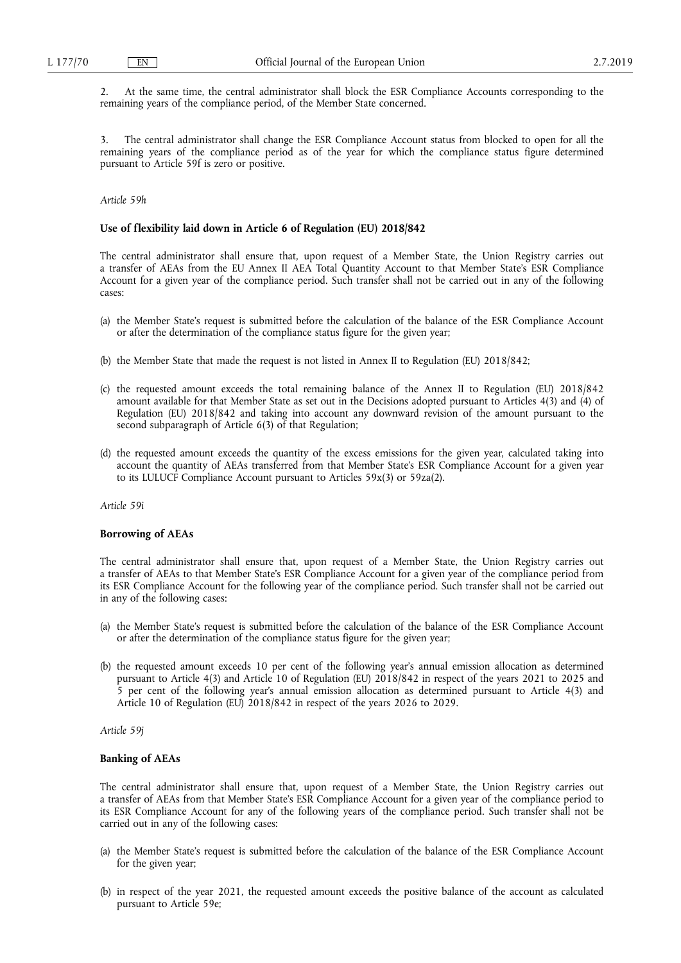2. At the same time, the central administrator shall block the ESR Compliance Accounts corresponding to the remaining years of the compliance period, of the Member State concerned.

3. The central administrator shall change the ESR Compliance Account status from blocked to open for all the remaining years of the compliance period as of the year for which the compliance status figure determined pursuant to Article 59f is zero or positive.

## *Article 59h*

## **Use of flexibility laid down in Article 6 of Regulation (EU) 2018/842**

The central administrator shall ensure that, upon request of a Member State, the Union Registry carries out a transfer of AEAs from the EU Annex II AEA Total Quantity Account to that Member State's ESR Compliance Account for a given year of the compliance period. Such transfer shall not be carried out in any of the following cases:

- (a) the Member State's request is submitted before the calculation of the balance of the ESR Compliance Account or after the determination of the compliance status figure for the given year;
- (b) the Member State that made the request is not listed in Annex II to Regulation (EU) 2018/842;
- (c) the requested amount exceeds the total remaining balance of the Annex II to Regulation (EU) 2018/842 amount available for that Member State as set out in the Decisions adopted pursuant to Articles 4(3) and (4) of Regulation (EU) 2018/842 and taking into account any downward revision of the amount pursuant to the second subparagraph of Article 6(3) of that Regulation;
- (d) the requested amount exceeds the quantity of the excess emissions for the given year, calculated taking into account the quantity of AEAs transferred from that Member State's ESR Compliance Account for a given year to its LULUCF Compliance Account pursuant to Articles 59x(3) or 59za(2).

*Article 59i* 

## **Borrowing of AEAs**

The central administrator shall ensure that, upon request of a Member State, the Union Registry carries out a transfer of AEAs to that Member State's ESR Compliance Account for a given year of the compliance period from its ESR Compliance Account for the following year of the compliance period. Such transfer shall not be carried out in any of the following cases:

- (a) the Member State's request is submitted before the calculation of the balance of the ESR Compliance Account or after the determination of the compliance status figure for the given year;
- (b) the requested amount exceeds 10 per cent of the following year's annual emission allocation as determined pursuant to Article 4(3) and Article 10 of Regulation (EU) 2018/842 in respect of the years 2021 to 2025 and 5 per cent of the following year's annual emission allocation as determined pursuant to Article 4(3) and Article 10 of Regulation (EU) 2018/842 in respect of the years 2026 to 2029.

*Article 59j* 

## **Banking of AEAs**

The central administrator shall ensure that, upon request of a Member State, the Union Registry carries out a transfer of AEAs from that Member State's ESR Compliance Account for a given year of the compliance period to its ESR Compliance Account for any of the following years of the compliance period. Such transfer shall not be carried out in any of the following cases:

- (a) the Member State's request is submitted before the calculation of the balance of the ESR Compliance Account for the given year;
- (b) in respect of the year 2021, the requested amount exceeds the positive balance of the account as calculated pursuant to Article 59e;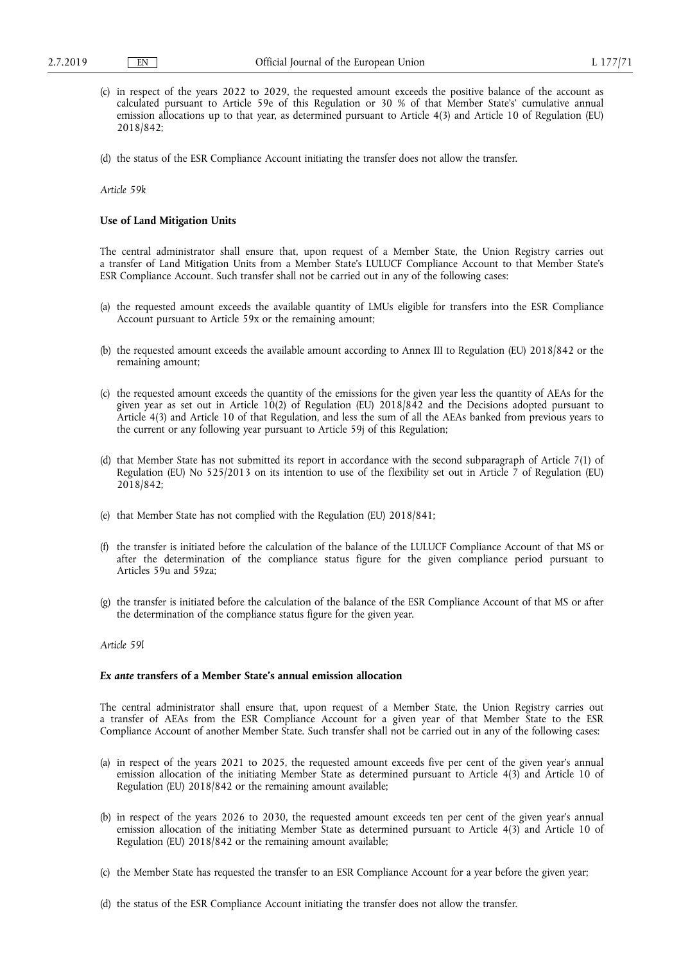- (c) in respect of the years 2022 to 2029, the requested amount exceeds the positive balance of the account as calculated pursuant to Article 59e of this Regulation or 30 % of that Member State's' cumulative annual emission allocations up to that year, as determined pursuant to Article 4(3) and Article 10 of Regulation (EU) 2018/842;
- (d) the status of the ESR Compliance Account initiating the transfer does not allow the transfer.

*Article 59k* 

## **Use of Land Mitigation Units**

The central administrator shall ensure that, upon request of a Member State, the Union Registry carries out a transfer of Land Mitigation Units from a Member State's LULUCF Compliance Account to that Member State's ESR Compliance Account. Such transfer shall not be carried out in any of the following cases:

- (a) the requested amount exceeds the available quantity of LMUs eligible for transfers into the ESR Compliance Account pursuant to Article 59x or the remaining amount;
- (b) the requested amount exceeds the available amount according to Annex III to Regulation (EU) 2018/842 or the remaining amount;
- (c) the requested amount exceeds the quantity of the emissions for the given year less the quantity of AEAs for the given year as set out in Article 10(2) of Regulation (EU) 2018/842 and the Decisions adopted pursuant to Article 4(3) and Article 10 of that Regulation, and less the sum of all the AEAs banked from previous years to the current or any following year pursuant to Article 59j of this Regulation;
- (d) that Member State has not submitted its report in accordance with the second subparagraph of Article 7(1) of Regulation (EU) No 525/2013 on its intention to use of the flexibility set out in Article 7 of Regulation (EU) 2018/842;
- (e) that Member State has not complied with the Regulation (EU) 2018/841;
- (f) the transfer is initiated before the calculation of the balance of the LULUCF Compliance Account of that MS or after the determination of the compliance status figure for the given compliance period pursuant to Articles 59u and 59za;
- (g) the transfer is initiated before the calculation of the balance of the ESR Compliance Account of that MS or after the determination of the compliance status figure for the given year.

## *Article 59l*

#### *Ex ante* **transfers of a Member State's annual emission allocation**

The central administrator shall ensure that, upon request of a Member State, the Union Registry carries out a transfer of AEAs from the ESR Compliance Account for a given year of that Member State to the ESR Compliance Account of another Member State. Such transfer shall not be carried out in any of the following cases:

- (a) in respect of the years 2021 to 2025, the requested amount exceeds five per cent of the given year's annual emission allocation of the initiating Member State as determined pursuant to Article 4(3) and Article 10 of Regulation (EU) 2018/842 or the remaining amount available;
- (b) in respect of the years 2026 to 2030, the requested amount exceeds ten per cent of the given year's annual emission allocation of the initiating Member State as determined pursuant to Article 4(3) and Article 10 of Regulation (EU) 2018/842 or the remaining amount available;
- (c) the Member State has requested the transfer to an ESR Compliance Account for a year before the given year;
- (d) the status of the ESR Compliance Account initiating the transfer does not allow the transfer.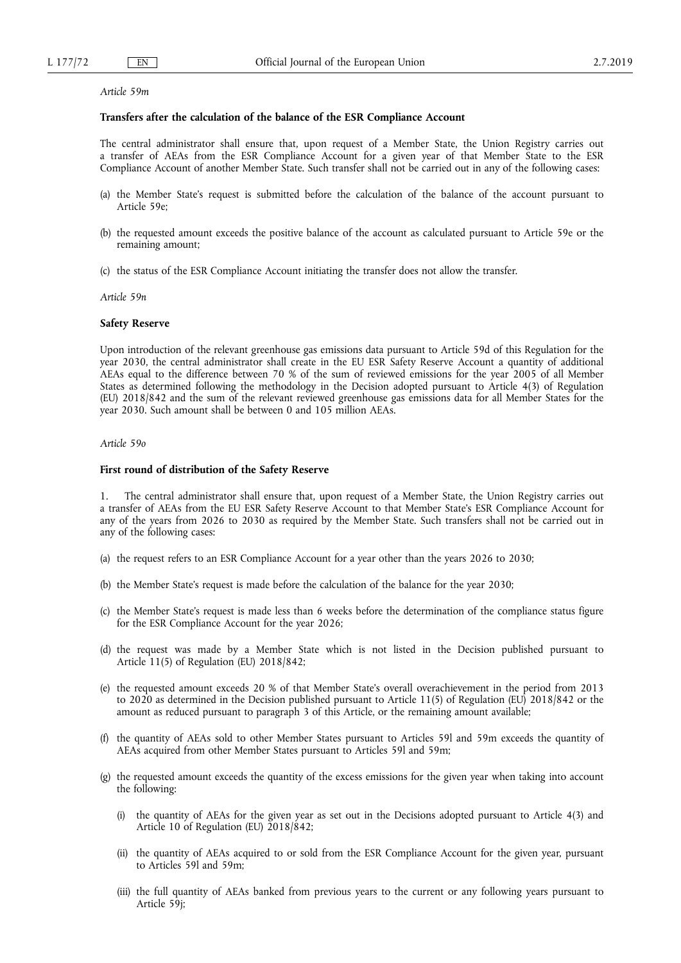*Article 59m* 

## **Transfers after the calculation of the balance of the ESR Compliance Account**

The central administrator shall ensure that, upon request of a Member State, the Union Registry carries out a transfer of AEAs from the ESR Compliance Account for a given year of that Member State to the ESR Compliance Account of another Member State. Such transfer shall not be carried out in any of the following cases:

- (a) the Member State's request is submitted before the calculation of the balance of the account pursuant to Article 59e;
- (b) the requested amount exceeds the positive balance of the account as calculated pursuant to Article 59e or the remaining amount;
- (c) the status of the ESR Compliance Account initiating the transfer does not allow the transfer.

*Article 59n* 

#### **Safety Reserve**

Upon introduction of the relevant greenhouse gas emissions data pursuant to Article 59d of this Regulation for the year 2030, the central administrator shall create in the EU ESR Safety Reserve Account a quantity of additional AEAs equal to the difference between 70 % of the sum of reviewed emissions for the year 2005 of all Member States as determined following the methodology in the Decision adopted pursuant to Article 4(3) of Regulation (EU) 2018/842 and the sum of the relevant reviewed greenhouse gas emissions data for all Member States for the year 2030. Such amount shall be between 0 and 105 million AEAs.

## *Article 59o*

## **First round of distribution of the Safety Reserve**

1. The central administrator shall ensure that, upon request of a Member State, the Union Registry carries out a transfer of AEAs from the EU ESR Safety Reserve Account to that Member State's ESR Compliance Account for any of the years from 2026 to 2030 as required by the Member State. Such transfers shall not be carried out in any of the following cases:

- (a) the request refers to an ESR Compliance Account for a year other than the years 2026 to 2030;
- (b) the Member State's request is made before the calculation of the balance for the year 2030;
- (c) the Member State's request is made less than 6 weeks before the determination of the compliance status figure for the ESR Compliance Account for the year 2026;
- (d) the request was made by a Member State which is not listed in the Decision published pursuant to Article 11(5) of Regulation (EU) 2018/842;
- (e) the requested amount exceeds 20 % of that Member State's overall overachievement in the period from 2013 to 2020 as determined in the Decision published pursuant to Article 11(5) of Regulation (EU) 2018/842 or the amount as reduced pursuant to paragraph 3 of this Article, or the remaining amount available;
- (f) the quantity of AEAs sold to other Member States pursuant to Articles 59l and 59m exceeds the quantity of AEAs acquired from other Member States pursuant to Articles 59l and 59m;
- (g) the requested amount exceeds the quantity of the excess emissions for the given year when taking into account the following:
	- (i) the quantity of AEAs for the given year as set out in the Decisions adopted pursuant to Article 4(3) and Article 10 of Regulation (EU) 2018/842;
	- (ii) the quantity of AEAs acquired to or sold from the ESR Compliance Account for the given year, pursuant to Articles 59l and 59m;
	- (iii) the full quantity of AEAs banked from previous years to the current or any following years pursuant to Article 59j;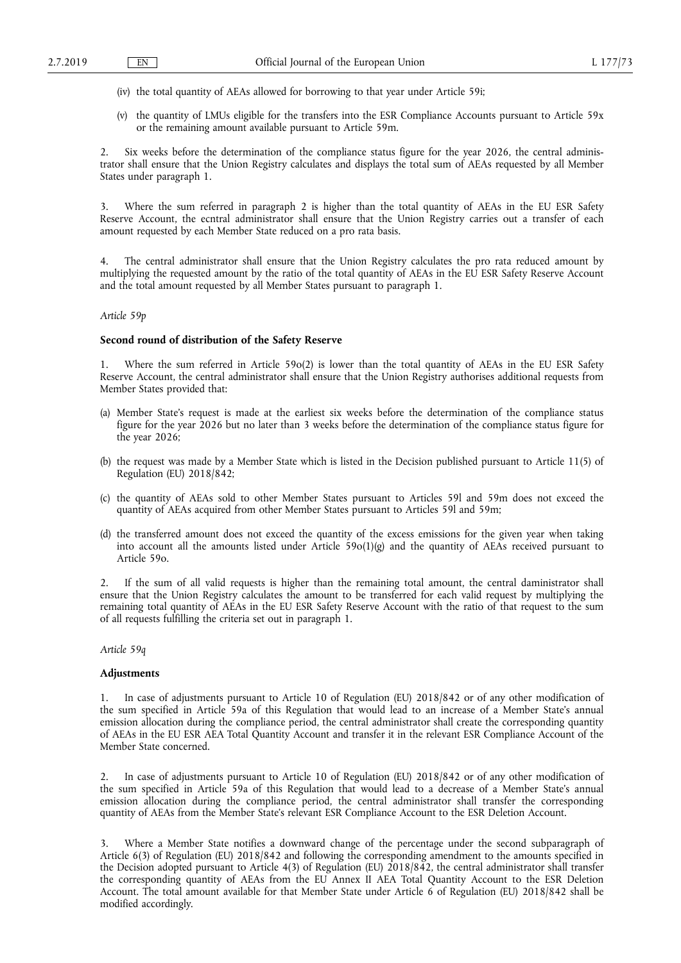- (iv) the total quantity of AEAs allowed for borrowing to that year under Article 59i;
- (v) the quantity of LMUs eligible for the transfers into the ESR Compliance Accounts pursuant to Article 59x or the remaining amount available pursuant to Article 59m.

2. Six weeks before the determination of the compliance status figure for the year 2026, the central administrator shall ensure that the Union Registry calculates and displays the total sum of AEAs requested by all Member States under paragraph 1.

3. Where the sum referred in paragraph 2 is higher than the total quantity of AEAs in the EU ESR Safety Reserve Account, the ecntral administrator shall ensure that the Union Registry carries out a transfer of each amount requested by each Member State reduced on a pro rata basis.

4. The central administrator shall ensure that the Union Registry calculates the pro rata reduced amount by multiplying the requested amount by the ratio of the total quantity of AEAs in the EU ESR Safety Reserve Account and the total amount requested by all Member States pursuant to paragraph 1.

#### *Article 59p*

## **Second round of distribution of the Safety Reserve**

Where the sum referred in Article  $59o(2)$  is lower than the total quantity of AEAs in the EU ESR Safety Reserve Account, the central administrator shall ensure that the Union Registry authorises additional requests from Member States provided that:

- (a) Member State's request is made at the earliest six weeks before the determination of the compliance status figure for the year 2026 but no later than 3 weeks before the determination of the compliance status figure for the year 2026;
- (b) the request was made by a Member State which is listed in the Decision published pursuant to Article 11(5) of Regulation (EU) 2018/842;
- (c) the quantity of AEAs sold to other Member States pursuant to Articles 59l and 59m does not exceed the quantity of AEAs acquired from other Member States pursuant to Articles 59l and 59m;
- (d) the transferred amount does not exceed the quantity of the excess emissions for the given year when taking into account all the amounts listed under Article  $59o(1)(g)$  and the quantity of AEAs received pursuant to Article 59o.

2. If the sum of all valid requests is higher than the remaining total amount, the central daministrator shall ensure that the Union Registry calculates the amount to be transferred for each valid request by multiplying the remaining total quantity of AEAs in the EU ESR Safety Reserve Account with the ratio of that request to the sum of all requests fulfilling the criteria set out in paragraph 1.

*Article 59q* 

## **Adjustments**

1. In case of adjustments pursuant to Article 10 of Regulation (EU) 2018/842 or of any other modification of the sum specified in Article 59a of this Regulation that would lead to an increase of a Member State's annual emission allocation during the compliance period, the central administrator shall create the corresponding quantity of AEAs in the EU ESR AEA Total Quantity Account and transfer it in the relevant ESR Compliance Account of the Member State concerned.

2. In case of adjustments pursuant to Article 10 of Regulation (EU) 2018/842 or of any other modification of the sum specified in Article 59a of this Regulation that would lead to a decrease of a Member State's annual emission allocation during the compliance period, the central administrator shall transfer the corresponding quantity of AEAs from the Member State's relevant ESR Compliance Account to the ESR Deletion Account.

Where a Member State notifies a downward change of the percentage under the second subparagraph of Article 6(3) of Regulation (EU) 2018/842 and following the corresponding amendment to the amounts specified in the Decision adopted pursuant to Article 4(3) of Regulation (EU) 2018/842, the central administrator shall transfer the corresponding quantity of AEAs from the EU Annex II AEA Total Quantity Account to the ESR Deletion Account. The total amount available for that Member State under Article 6 of Regulation (EU) 2018/842 shall be modified accordingly.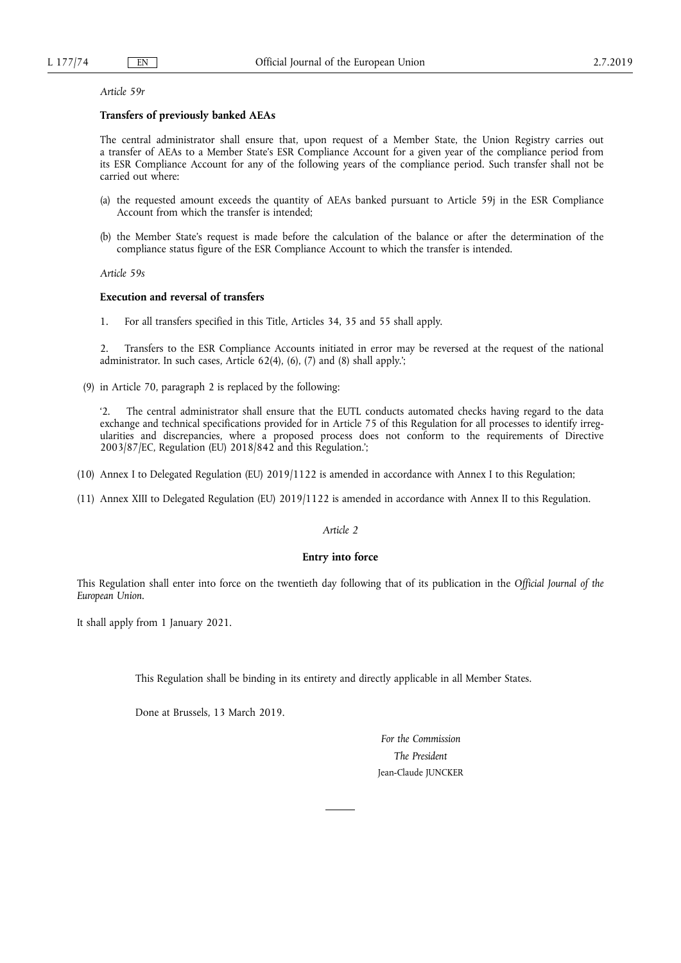#### *Article 59r*

## **Transfers of previously banked AEAs**

The central administrator shall ensure that, upon request of a Member State, the Union Registry carries out a transfer of AEAs to a Member State's ESR Compliance Account for a given year of the compliance period from its ESR Compliance Account for any of the following years of the compliance period. Such transfer shall not be carried out where:

- (a) the requested amount exceeds the quantity of AEAs banked pursuant to Article 59j in the ESR Compliance Account from which the transfer is intended;
- (b) the Member State's request is made before the calculation of the balance or after the determination of the compliance status figure of the ESR Compliance Account to which the transfer is intended.

*Article 59s* 

# **Execution and reversal of transfers**

1. For all transfers specified in this Title, Articles 34, 35 and 55 shall apply.

2. Transfers to the ESR Compliance Accounts initiated in error may be reversed at the request of the national administrator. In such cases, Article 62(4), (6), (7) and (8) shall apply.';

(9) in Article 70, paragraph 2 is replaced by the following:

'2. The central administrator shall ensure that the EUTL conducts automated checks having regard to the data exchange and technical specifications provided for in Article 75 of this Regulation for all processes to identify irregularities and discrepancies, where a proposed process does not conform to the requirements of Directive 2003/87/EC, Regulation (EU) 2018/842 and this Regulation.';

- (10) Annex I to Delegated Regulation (EU) 2019/1122 is amended in accordance with Annex I to this Regulation;
- (11) Annex XIII to Delegated Regulation (EU) 2019/1122 is amended in accordance with Annex II to this Regulation.

## *Article 2*

#### **Entry into force**

This Regulation shall enter into force on the twentieth day following that of its publication in the *Official Journal of the European Union*.

It shall apply from 1 January 2021.

This Regulation shall be binding in its entirety and directly applicable in all Member States.

Done at Brussels, 13 March 2019.

*For the Commission The President*  Jean-Claude JUNCKER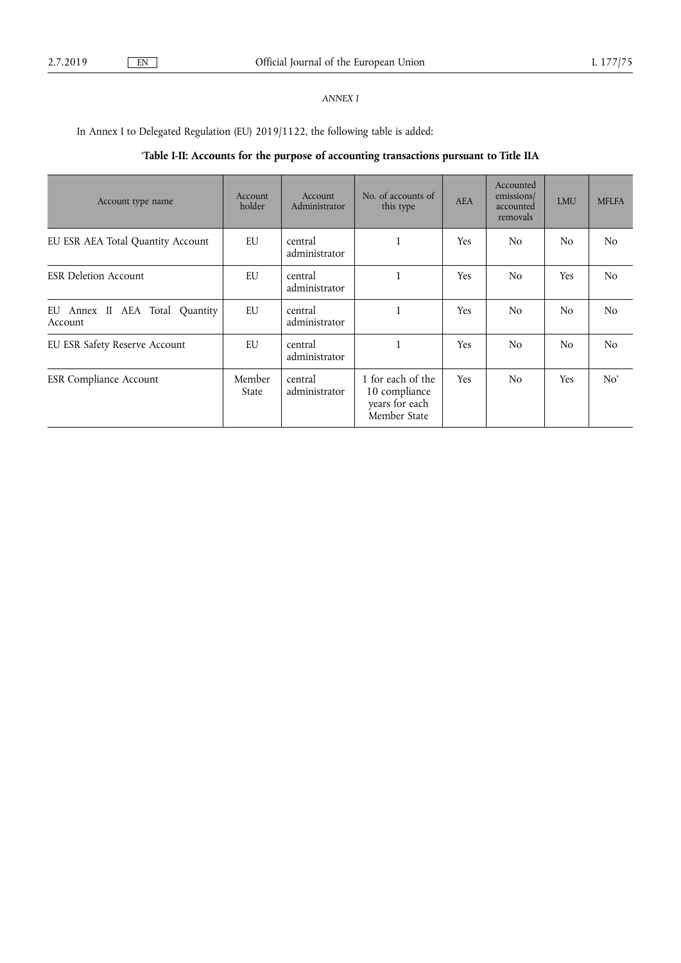# *ANNEX I*

In Annex I to Delegated Regulation (EU) 2019/1122, the following table is added:

# '**Table I-II: Accounts for the purpose of accounting transactions pursuant to Title IIA**

| Account type name                            | Account<br>holder      | <b>Account</b><br>Administrator | No. of accounts of<br>this type                                      | <b>AEA</b> | Accounted<br>emissions/<br>accounted<br>removals | <b>LMU</b>     | <b>MFLFA</b>   |
|----------------------------------------------|------------------------|---------------------------------|----------------------------------------------------------------------|------------|--------------------------------------------------|----------------|----------------|
| EU ESR AEA Total Quantity Account            | EU                     | central<br>administrator        | $\mathbf{1}$                                                         | Yes        | N <sub>0</sub>                                   | N <sub>o</sub> | N <sub>o</sub> |
| <b>ESR Deletion Account</b>                  | EU                     | central<br>administrator        | $\mathbf{1}$                                                         | Yes        | N <sub>o</sub>                                   | <b>Yes</b>     | N <sub>o</sub> |
| EU Annex II AEA Total<br>Quantity<br>Account | EU                     | central<br>administrator        | $\mathbf{1}$                                                         | Yes        | N <sub>o</sub>                                   | N <sub>o</sub> | N <sub>o</sub> |
| EU ESR Safety Reserve Account                | EU                     | central<br>administrator        | $\mathbf{1}$                                                         | <b>Yes</b> | N <sub>o</sub>                                   | N <sub>o</sub> | N <sub>o</sub> |
| <b>ESR Compliance Account</b>                | Member<br><b>State</b> | central<br>administrator        | 1 for each of the<br>10 compliance<br>years for each<br>Member State | <b>Yes</b> | N <sub>o</sub>                                   | <b>Yes</b>     | No'            |